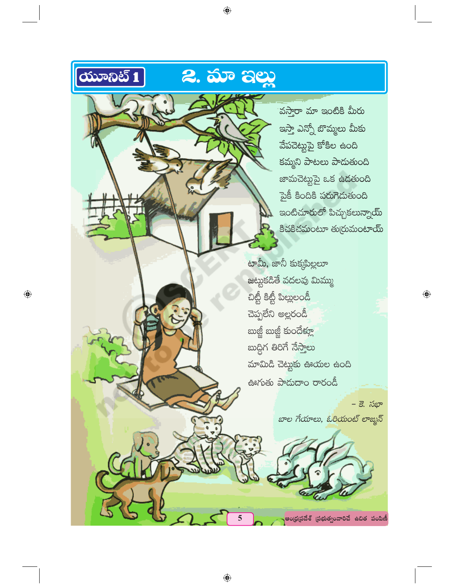

 $\bigoplus$ 

2. ಮಾ ಇಲ್ಲು

 $\bigoplus$ 

వస్తారా మా ఇంటికి మీరు ఇస్తా ఎన్నో బొమ్మలు మీకు వేపచెట్టుపై కోకిల ఉంది కమ్మని పాటలు పాడుతు<mark>ం</mark>ది జామచెట్టుపై ఒక ఉడతుంది పైకీ కిందికి పరుగెదుతుంది ఇంటిచూరులో పిచ్చుకలున్నాయ్ కిచకిచమంటూ తుర్రుమంటాయ్

టామీ, జానీ కుక్కపిల్లలూ జట్టుకడితే వదలవు మిమ్ము చిట్టీ కిట్టీ పిల్లులండీ చెప్పలేని అల్లరండీ ဃာဆ္လ္ဆိ ဃာဆ္လ္ဆိ ႀဝ<mark>ದ</mark>ేళ్లూ బుద్ధిగ తిరిగే నేస్తాలు మామిడి చెట్టుకు ఊయల ఉంది ఊగుతు పాదుదాం రారండీ

> - కె. సభా బాల గేయాలు, ఓరియంట్ లాఙ్మన్

ఆంధ్రప్రదేశ్ (పభుత్వంవారిచే ఉచిత పంపిణీ

 $\bigoplus$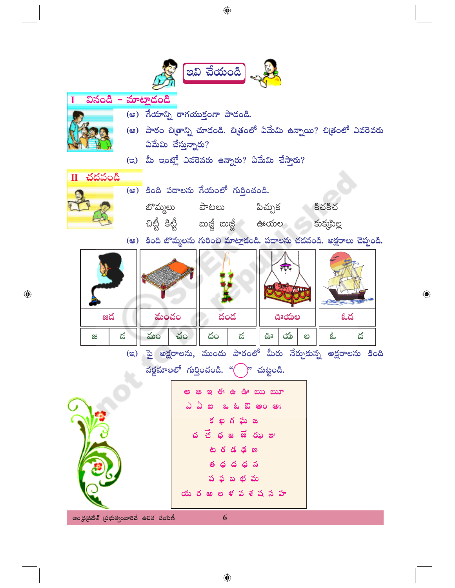

 $\bigoplus$ 

 $\bigoplus$ 

 $\bigoplus$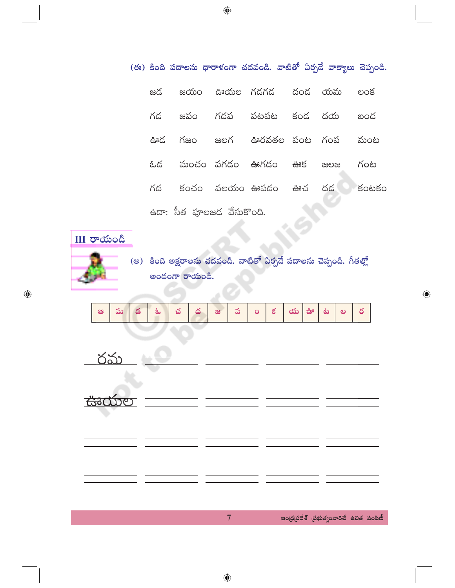|    |                           | (ఈ) కింది పదాలను ధారాకంగా చదవండి. వాటితో ఏర్పడే వాక్యాలు చెప్పండి. |  |     |  |
|----|---------------------------|--------------------------------------------------------------------|--|-----|--|
| జద |                           | జయం ఊయల గడగడ దండ యమ లంక                                            |  |     |  |
| గడ |                           | జపం గడప పటపట కండ దయ                                                |  | బంద |  |
|    |                           | ఊడ గజం జలగ ఊరవతల-పంట గంప మంట                                       |  |     |  |
| ఓద |                           | మంచం పగడం ఊగడం ఊక జలజ                                              |  | గంట |  |
| గద |                           | కంచం వలయం ఊపడం ఊచ దడ కంటకం                                         |  |     |  |
|    | ఉదా: సీత పూలజడ వేసుకొంది. |                                                                    |  |     |  |

## $III$  రాయండి



 $\bigoplus$ 

(అ) కింది అక్షరాలను చదవండి. వాటితో ఏర్పడే పదాలను చెప్పండి. గీతల్లో అందంగా రాయండి.

| മ്യ |  |  |  |  |  |  |  |  | $\sim$ |  | $\frac{1}{100}$ |  |  |  |  |
|-----|--|--|--|--|--|--|--|--|--------|--|-----------------|--|--|--|--|
|-----|--|--|--|--|--|--|--|--|--------|--|-----------------|--|--|--|--|

 $\overline{7}$ 

 $\bigoplus$ 

<u>ారమ</u>

<u>ఉందుల</u>

ఆంధ్రప్రదేశ్ (పభుత్వంవారిచే ఉచిత పంపిణీ

 $\bigoplus$